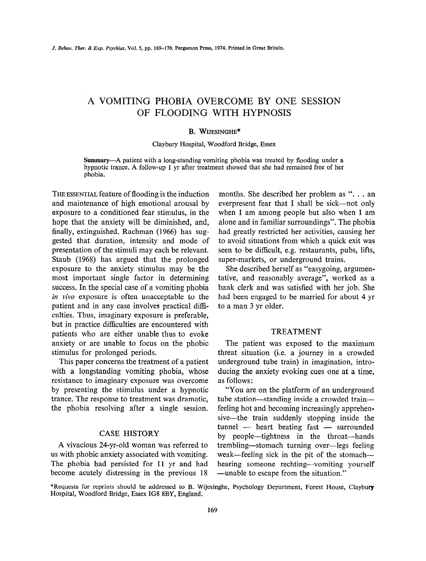# A VOMITING PHOBIA OVERCOME BY ONE SESSION OF FLOODING WITH HYPNOSIS

#### B. WIJESNGHE\*

### Claybury Hospital, Woodford Bridge, Essex

Summary-A patient with a long-standing vomiting phobia was treated by flooding under a hypnotic trance. A follow-up 1 yr after treatment showed that she had remained free of her phobia.

THE ESSENTIAL feature of flooding is the induction and maintenance of high emotional arousal by exposure to a conditioned fear stimulus, in the hope that the anxiety will be diminished, and, finally, extinguished. Rachman (1966) has suggested that duration, intensity and mode of presentation of the stimuli may each be relevant. Staub (1968) has argued that the prolonged exposure to the anxiety stimulus may be the most important single factor in determining success. In the special case of a vomiting phobia in viva exposure is often unacceptable to the patient and in any case involves practical difficulties. Thus, imaginary exposure is preferable, but in practice difficulties are encountered with patients who are either unable thus to evoke anxiety or are unable to focus on the phobic stimulus for prolonged periods.

This paper concerns the treatment of a patient with a longstanding vomiting phobia, whose resistance to imaginary exposure was overcome by presenting the stimulus under a hypnotic trance. The response to treatment was dramatic, the phobia resolving after a single session.

### CASE HISTORY

A vivacious 24-yr-old woman was referred to us with phobic anxiety associated with vomiting. The phobia had persisted for 11 yr and had become acutely distressing in the previous 18

months. She described her problem as ". . . an everpresent fear that I shall be sick-not only when I am among people but also when I am alone and in familiar surroundings". The phobia had greatly restricted her activities, causing her to avoid situations from which a quick exit was seen to be difficult, e.g. restaurants, pubs, lifts, super-markets, or underground trains.

She described herself as "easygoing, argumentative, and reasonably average", worked as a bank clerk and was satisfied with her job. She had been engaged to be married for about 4 yr to a man 3 yr older.

## TREATMENT

The patient was exposed to the maximum threat situation (i.e. a journey in a crowded underground tube train) in imagination, introducing the anxiety evoking cues one at a time, as follows :

"You are on the platform of an underground tube station—standing inside a crowded train feeling hot and becoming increasingly apprehensive-the train suddenly stopping inside the  $tunnel$  - heart beating fast - surrounded by people-tightness in the throat-hands trembling-stomach turning over-legs feeling weak-feeling sick in the pit of the stomachhearing someone rechting-vomiting yourself -unable to escape from the situation."

\*Requests for reprints should be addressed to B. Wijesinghe, Psychology Department, Forest House, Claybury Hospital, Woodford Bridge, Essex IG8 SBY, England.